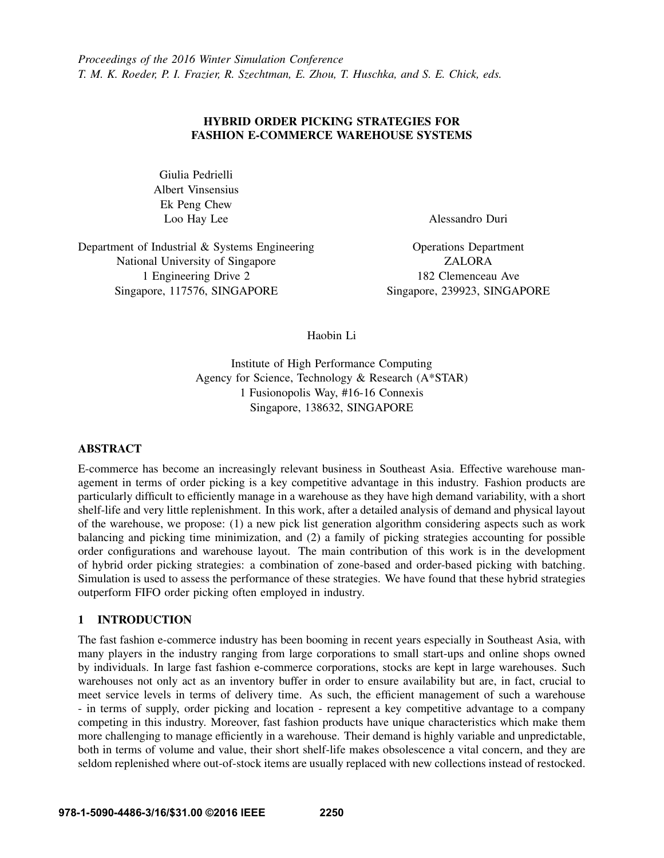*Proceedings of the 2016 Winter Simulation Conference T. M. K. Roeder, P. I. Frazier, R. Szechtman, E. Zhou, T. Huschka, and S. E. Chick, eds.*

# HYBRID ORDER PICKING STRATEGIES FOR FASHION E-COMMERCE WAREHOUSE SYSTEMS

Giulia Pedrielli Albert Vinsensius Ek Peng Chew Loo Hay Lee

Alessandro Duri

Department of Industrial & Systems Engineering National University of Singapore 1 Engineering Drive 2 Singapore, 117576, SINGAPORE

Operations Department ZALORA 182 Clemenceau Ave Singapore, 239923, SINGAPORE

Haobin Li

Institute of High Performance Computing Agency for Science, Technology & Research (A\*STAR) 1 Fusionopolis Way, #16-16 Connexis Singapore, 138632, SINGAPORE

## ABSTRACT

E-commerce has become an increasingly relevant business in Southeast Asia. Effective warehouse management in terms of order picking is a key competitive advantage in this industry. Fashion products are particularly difficult to efficiently manage in a warehouse as they have high demand variability, with a short shelf-life and very little replenishment. In this work, after a detailed analysis of demand and physical layout of the warehouse, we propose: (1) a new pick list generation algorithm considering aspects such as work balancing and picking time minimization, and (2) a family of picking strategies accounting for possible order configurations and warehouse layout. The main contribution of this work is in the development of hybrid order picking strategies: a combination of zone-based and order-based picking with batching. Simulation is used to assess the performance of these strategies. We have found that these hybrid strategies outperform FIFO order picking often employed in industry.

# 1 INTRODUCTION

The fast fashion e-commerce industry has been booming in recent years especially in Southeast Asia, with many players in the industry ranging from large corporations to small start-ups and online shops owned by individuals. In large fast fashion e-commerce corporations, stocks are kept in large warehouses. Such warehouses not only act as an inventory buffer in order to ensure availability but are, in fact, crucial to meet service levels in terms of delivery time. As such, the efficient management of such a warehouse - in terms of supply, order picking and location - represent a key competitive advantage to a company competing in this industry. Moreover, fast fashion products have unique characteristics which make them more challenging to manage efficiently in a warehouse. Their demand is highly variable and unpredictable, both in terms of volume and value, their short shelf-life makes obsolescence a vital concern, and they are seldom replenished where out-of-stock items are usually replaced with new collections instead of restocked.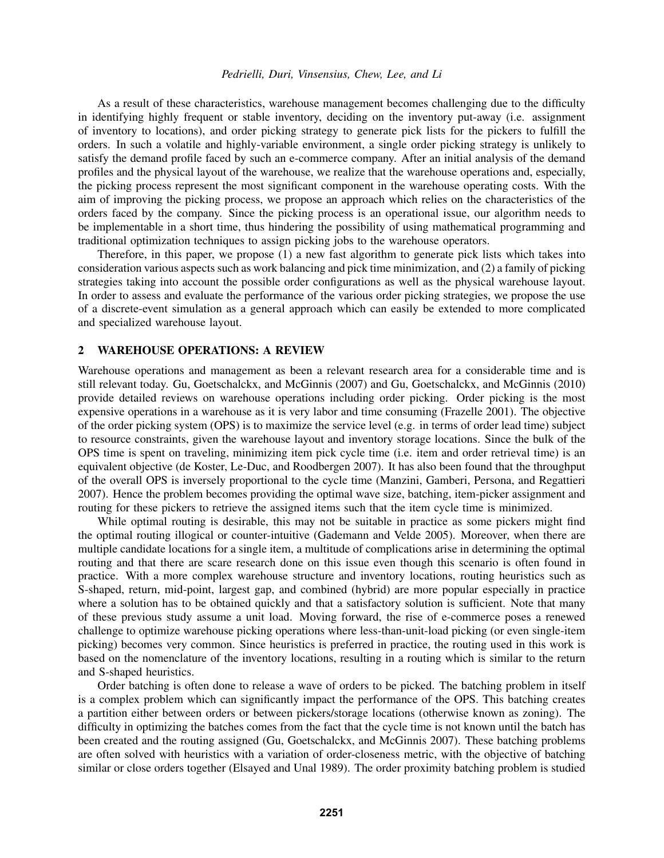As a result of these characteristics, warehouse management becomes challenging due to the difficulty in identifying highly frequent or stable inventory, deciding on the inventory put-away (i.e. assignment of inventory to locations), and order picking strategy to generate pick lists for the pickers to fulfill the orders. In such a volatile and highly-variable environment, a single order picking strategy is unlikely to satisfy the demand profile faced by such an e-commerce company. After an initial analysis of the demand profiles and the physical layout of the warehouse, we realize that the warehouse operations and, especially, the picking process represent the most significant component in the warehouse operating costs. With the aim of improving the picking process, we propose an approach which relies on the characteristics of the orders faced by the company. Since the picking process is an operational issue, our algorithm needs to be implementable in a short time, thus hindering the possibility of using mathematical programming and traditional optimization techniques to assign picking jobs to the warehouse operators.

Therefore, in this paper, we propose (1) a new fast algorithm to generate pick lists which takes into consideration various aspects such as work balancing and pick time minimization, and (2) a family of picking strategies taking into account the possible order configurations as well as the physical warehouse layout. In order to assess and evaluate the performance of the various order picking strategies, we propose the use of a discrete-event simulation as a general approach which can easily be extended to more complicated and specialized warehouse layout.

#### 2 WAREHOUSE OPERATIONS: A REVIEW

Warehouse operations and management as been a relevant research area for a considerable time and is still relevant today. Gu, Goetschalckx, and McGinnis (2007) and Gu, Goetschalckx, and McGinnis (2010) provide detailed reviews on warehouse operations including order picking. Order picking is the most expensive operations in a warehouse as it is very labor and time consuming (Frazelle 2001). The objective of the order picking system (OPS) is to maximize the service level (e.g. in terms of order lead time) subject to resource constraints, given the warehouse layout and inventory storage locations. Since the bulk of the OPS time is spent on traveling, minimizing item pick cycle time (i.e. item and order retrieval time) is an equivalent objective (de Koster, Le-Duc, and Roodbergen 2007). It has also been found that the throughput of the overall OPS is inversely proportional to the cycle time (Manzini, Gamberi, Persona, and Regattieri 2007). Hence the problem becomes providing the optimal wave size, batching, item-picker assignment and routing for these pickers to retrieve the assigned items such that the item cycle time is minimized.

While optimal routing is desirable, this may not be suitable in practice as some pickers might find the optimal routing illogical or counter-intuitive (Gademann and Velde 2005). Moreover, when there are multiple candidate locations for a single item, a multitude of complications arise in determining the optimal routing and that there are scare research done on this issue even though this scenario is often found in practice. With a more complex warehouse structure and inventory locations, routing heuristics such as S-shaped, return, mid-point, largest gap, and combined (hybrid) are more popular especially in practice where a solution has to be obtained quickly and that a satisfactory solution is sufficient. Note that many of these previous study assume a unit load. Moving forward, the rise of e-commerce poses a renewed challenge to optimize warehouse picking operations where less-than-unit-load picking (or even single-item picking) becomes very common. Since heuristics is preferred in practice, the routing used in this work is based on the nomenclature of the inventory locations, resulting in a routing which is similar to the return and S-shaped heuristics.

Order batching is often done to release a wave of orders to be picked. The batching problem in itself is a complex problem which can significantly impact the performance of the OPS. This batching creates a partition either between orders or between pickers/storage locations (otherwise known as zoning). The difficulty in optimizing the batches comes from the fact that the cycle time is not known until the batch has been created and the routing assigned (Gu, Goetschalckx, and McGinnis 2007). These batching problems are often solved with heuristics with a variation of order-closeness metric, with the objective of batching similar or close orders together (Elsayed and Unal 1989). The order proximity batching problem is studied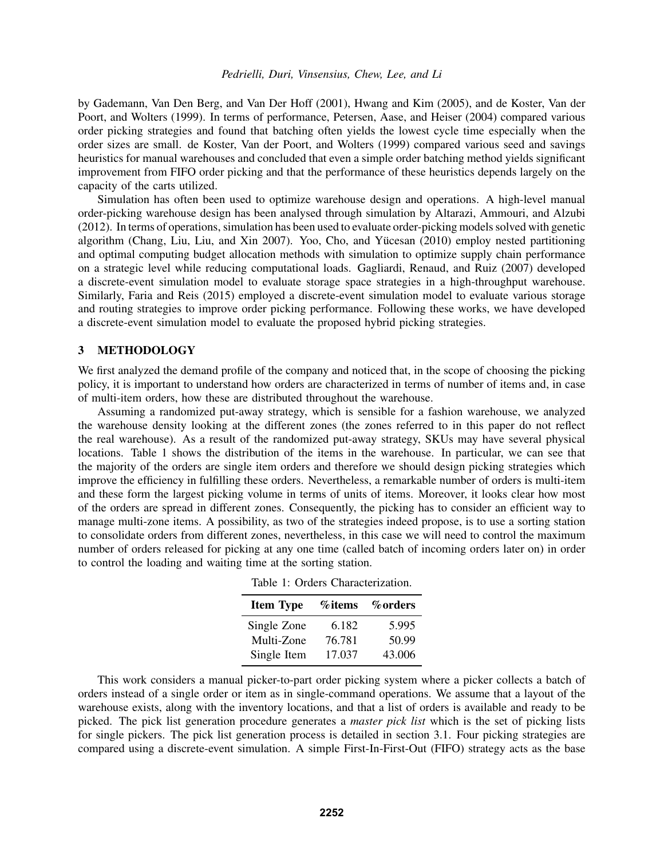by Gademann, Van Den Berg, and Van Der Hoff (2001), Hwang and Kim (2005), and de Koster, Van der Poort, and Wolters (1999). In terms of performance, Petersen, Aase, and Heiser (2004) compared various order picking strategies and found that batching often yields the lowest cycle time especially when the order sizes are small. de Koster, Van der Poort, and Wolters (1999) compared various seed and savings heuristics for manual warehouses and concluded that even a simple order batching method yields significant improvement from FIFO order picking and that the performance of these heuristics depends largely on the capacity of the carts utilized.

Simulation has often been used to optimize warehouse design and operations. A high-level manual order-picking warehouse design has been analysed through simulation by Altarazi, Ammouri, and Alzubi (2012). In terms of operations, simulation has been used to evaluate order-picking models solved with genetic algorithm (Chang, Liu, Liu, and Xin 2007). Yoo, Cho, and Yücesan (2010) employ nested partitioning and optimal computing budget allocation methods with simulation to optimize supply chain performance on a strategic level while reducing computational loads. Gagliardi, Renaud, and Ruiz (2007) developed a discrete-event simulation model to evaluate storage space strategies in a high-throughput warehouse. Similarly, Faria and Reis (2015) employed a discrete-event simulation model to evaluate various storage and routing strategies to improve order picking performance. Following these works, we have developed a discrete-event simulation model to evaluate the proposed hybrid picking strategies.

#### 3 METHODOLOGY

We first analyzed the demand profile of the company and noticed that, in the scope of choosing the picking policy, it is important to understand how orders are characterized in terms of number of items and, in case of multi-item orders, how these are distributed throughout the warehouse.

Assuming a randomized put-away strategy, which is sensible for a fashion warehouse, we analyzed the warehouse density looking at the different zones (the zones referred to in this paper do not reflect the real warehouse). As a result of the randomized put-away strategy, SKUs may have several physical locations. Table 1 shows the distribution of the items in the warehouse. In particular, we can see that the majority of the orders are single item orders and therefore we should design picking strategies which improve the efficiency in fulfilling these orders. Nevertheless, a remarkable number of orders is multi-item and these form the largest picking volume in terms of units of items. Moreover, it looks clear how most of the orders are spread in different zones. Consequently, the picking has to consider an efficient way to manage multi-zone items. A possibility, as two of the strategies indeed propose, is to use a sorting station to consolidate orders from different zones, nevertheless, in this case we will need to control the maximum number of orders released for picking at any one time (called batch of incoming orders later on) in order to control the loading and waiting time at the sorting station.

Table 1: Orders Characterization.

| <b>Item Type</b> | $\%$ items | <b>%</b> orders |
|------------------|------------|-----------------|
| Single Zone      | 6.182      | 5.995           |
| Multi-Zone       | 76.781     | 50.99           |
| Single Item      | 17.037     | 43.006          |

This work considers a manual picker-to-part order picking system where a picker collects a batch of orders instead of a single order or item as in single-command operations. We assume that a layout of the warehouse exists, along with the inventory locations, and that a list of orders is available and ready to be picked. The pick list generation procedure generates a *master pick list* which is the set of picking lists for single pickers. The pick list generation process is detailed in section 3.1. Four picking strategies are compared using a discrete-event simulation. A simple First-In-First-Out (FIFO) strategy acts as the base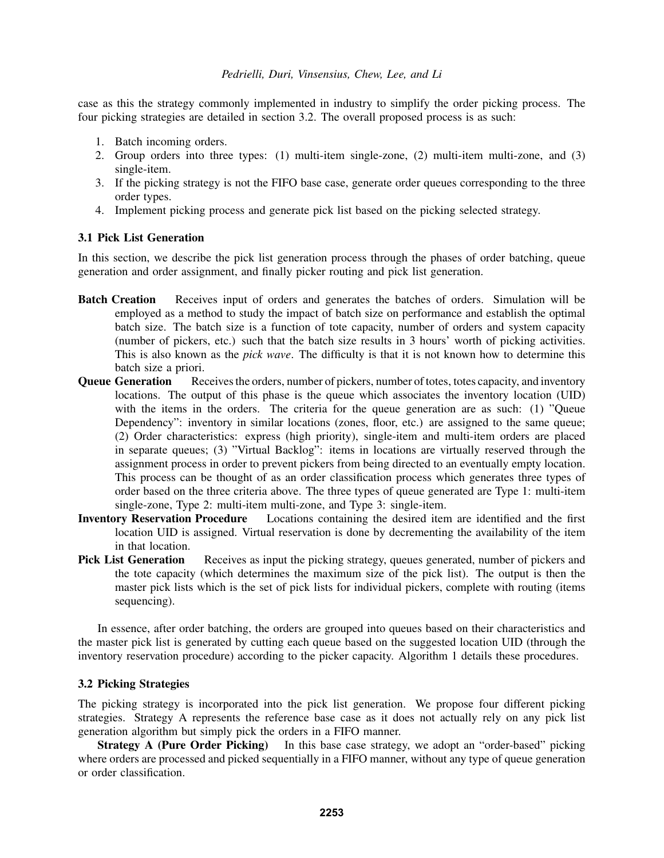case as this the strategy commonly implemented in industry to simplify the order picking process. The four picking strategies are detailed in section 3.2. The overall proposed process is as such:

- 1. Batch incoming orders.
- 2. Group orders into three types: (1) multi-item single-zone, (2) multi-item multi-zone, and (3) single-item.
- 3. If the picking strategy is not the FIFO base case, generate order queues corresponding to the three order types.
- 4. Implement picking process and generate pick list based on the picking selected strategy.

### 3.1 Pick List Generation

In this section, we describe the pick list generation process through the phases of order batching, queue generation and order assignment, and finally picker routing and pick list generation.

- Batch Creation Receives input of orders and generates the batches of orders. Simulation will be employed as a method to study the impact of batch size on performance and establish the optimal batch size. The batch size is a function of tote capacity, number of orders and system capacity (number of pickers, etc.) such that the batch size results in 3 hours' worth of picking activities. This is also known as the *pick wave*. The difficulty is that it is not known how to determine this batch size a priori.
- Queue Generation Receives the orders, number of pickers, number of totes, totes capacity, and inventory locations. The output of this phase is the queue which associates the inventory location (UID) with the items in the orders. The criteria for the queue generation are as such: (1) "Queue Dependency": inventory in similar locations (zones, floor, etc.) are assigned to the same queue; (2) Order characteristics: express (high priority), single-item and multi-item orders are placed in separate queues; (3) "Virtual Backlog": items in locations are virtually reserved through the assignment process in order to prevent pickers from being directed to an eventually empty location. This process can be thought of as an order classification process which generates three types of order based on the three criteria above. The three types of queue generated are Type 1: multi-item single-zone, Type 2: multi-item multi-zone, and Type 3: single-item.
- Inventory Reservation Procedure Locations containing the desired item are identified and the first location UID is assigned. Virtual reservation is done by decrementing the availability of the item in that location.
- Pick List Generation Receives as input the picking strategy, queues generated, number of pickers and the tote capacity (which determines the maximum size of the pick list). The output is then the master pick lists which is the set of pick lists for individual pickers, complete with routing (items sequencing).

In essence, after order batching, the orders are grouped into queues based on their characteristics and the master pick list is generated by cutting each queue based on the suggested location UID (through the inventory reservation procedure) according to the picker capacity. Algorithm 1 details these procedures.

## 3.2 Picking Strategies

The picking strategy is incorporated into the pick list generation. We propose four different picking strategies. Strategy A represents the reference base case as it does not actually rely on any pick list generation algorithm but simply pick the orders in a FIFO manner.<br>Strategy A (Pure Order Picking) In this base case strategy

In this base case strategy, we adopt an "order-based" picking where orders are processed and picked sequentially in a FIFO manner, without any type of queue generation or order classification.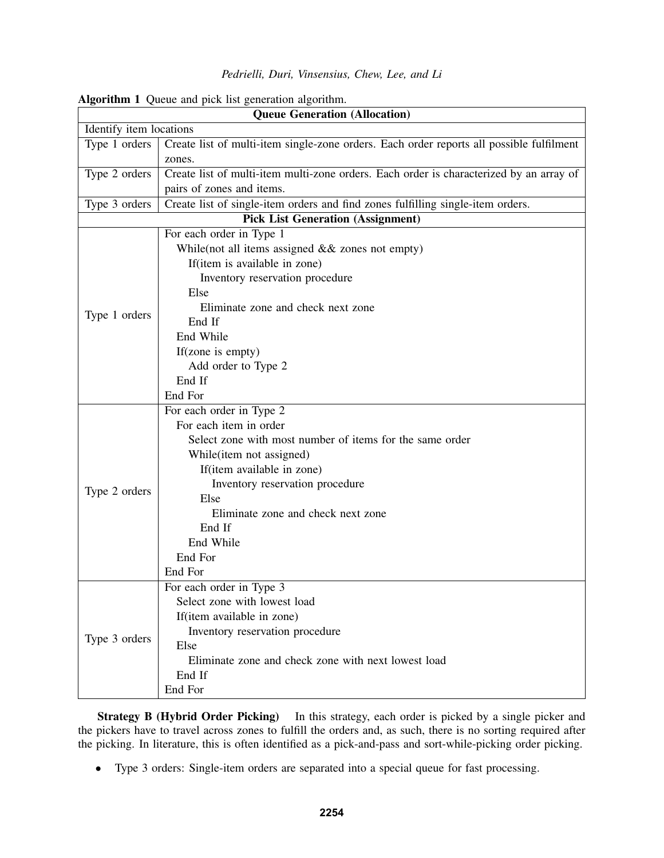| Identify item locations<br>Type 1 orders<br>Create list of multi-item single-zone orders. Each order reports all possible fulfilment<br>zones.<br>Type 2 orders<br>Create list of multi-item multi-zone orders. Each order is characterized by an array of<br>pairs of zones and items.<br>Create list of single-item orders and find zones fulfilling single-item orders.<br>Type 3 orders<br><b>Pick List Generation (Assignment)</b><br>For each order in Type 1<br>While(not all items assigned $& \&$ zones not empty)<br>If(item is available in zone)<br>Inventory reservation procedure<br>Else<br>Eliminate zone and check next zone<br>Type 1 orders<br>End If<br>End While<br>If(zone is empty)<br>Add order to Type 2<br>End If<br>End For<br>For each order in Type 2<br>For each item in order<br>Select zone with most number of items for the same order<br>While(item not assigned)<br>If(item available in zone)<br>Inventory reservation procedure<br>Type 2 orders<br>Else<br>Eliminate zone and check next zone<br>End If<br>End While<br>End For<br>End For<br>For each order in Type 3<br>Select zone with lowest load<br>If(item available in zone)<br>Inventory reservation procedure<br>Type 3 orders | <b>Queue Generation (Allocation)</b> |      |  |  |  |  |
|---------------------------------------------------------------------------------------------------------------------------------------------------------------------------------------------------------------------------------------------------------------------------------------------------------------------------------------------------------------------------------------------------------------------------------------------------------------------------------------------------------------------------------------------------------------------------------------------------------------------------------------------------------------------------------------------------------------------------------------------------------------------------------------------------------------------------------------------------------------------------------------------------------------------------------------------------------------------------------------------------------------------------------------------------------------------------------------------------------------------------------------------------------------------------------------------------------------------------------|--------------------------------------|------|--|--|--|--|
|                                                                                                                                                                                                                                                                                                                                                                                                                                                                                                                                                                                                                                                                                                                                                                                                                                                                                                                                                                                                                                                                                                                                                                                                                                 |                                      |      |  |  |  |  |
|                                                                                                                                                                                                                                                                                                                                                                                                                                                                                                                                                                                                                                                                                                                                                                                                                                                                                                                                                                                                                                                                                                                                                                                                                                 |                                      |      |  |  |  |  |
|                                                                                                                                                                                                                                                                                                                                                                                                                                                                                                                                                                                                                                                                                                                                                                                                                                                                                                                                                                                                                                                                                                                                                                                                                                 |                                      |      |  |  |  |  |
|                                                                                                                                                                                                                                                                                                                                                                                                                                                                                                                                                                                                                                                                                                                                                                                                                                                                                                                                                                                                                                                                                                                                                                                                                                 |                                      |      |  |  |  |  |
|                                                                                                                                                                                                                                                                                                                                                                                                                                                                                                                                                                                                                                                                                                                                                                                                                                                                                                                                                                                                                                                                                                                                                                                                                                 |                                      |      |  |  |  |  |
|                                                                                                                                                                                                                                                                                                                                                                                                                                                                                                                                                                                                                                                                                                                                                                                                                                                                                                                                                                                                                                                                                                                                                                                                                                 |                                      |      |  |  |  |  |
|                                                                                                                                                                                                                                                                                                                                                                                                                                                                                                                                                                                                                                                                                                                                                                                                                                                                                                                                                                                                                                                                                                                                                                                                                                 |                                      |      |  |  |  |  |
|                                                                                                                                                                                                                                                                                                                                                                                                                                                                                                                                                                                                                                                                                                                                                                                                                                                                                                                                                                                                                                                                                                                                                                                                                                 |                                      |      |  |  |  |  |
|                                                                                                                                                                                                                                                                                                                                                                                                                                                                                                                                                                                                                                                                                                                                                                                                                                                                                                                                                                                                                                                                                                                                                                                                                                 |                                      |      |  |  |  |  |
|                                                                                                                                                                                                                                                                                                                                                                                                                                                                                                                                                                                                                                                                                                                                                                                                                                                                                                                                                                                                                                                                                                                                                                                                                                 |                                      |      |  |  |  |  |
|                                                                                                                                                                                                                                                                                                                                                                                                                                                                                                                                                                                                                                                                                                                                                                                                                                                                                                                                                                                                                                                                                                                                                                                                                                 |                                      |      |  |  |  |  |
|                                                                                                                                                                                                                                                                                                                                                                                                                                                                                                                                                                                                                                                                                                                                                                                                                                                                                                                                                                                                                                                                                                                                                                                                                                 |                                      |      |  |  |  |  |
|                                                                                                                                                                                                                                                                                                                                                                                                                                                                                                                                                                                                                                                                                                                                                                                                                                                                                                                                                                                                                                                                                                                                                                                                                                 |                                      |      |  |  |  |  |
|                                                                                                                                                                                                                                                                                                                                                                                                                                                                                                                                                                                                                                                                                                                                                                                                                                                                                                                                                                                                                                                                                                                                                                                                                                 |                                      |      |  |  |  |  |
|                                                                                                                                                                                                                                                                                                                                                                                                                                                                                                                                                                                                                                                                                                                                                                                                                                                                                                                                                                                                                                                                                                                                                                                                                                 |                                      |      |  |  |  |  |
|                                                                                                                                                                                                                                                                                                                                                                                                                                                                                                                                                                                                                                                                                                                                                                                                                                                                                                                                                                                                                                                                                                                                                                                                                                 |                                      |      |  |  |  |  |
|                                                                                                                                                                                                                                                                                                                                                                                                                                                                                                                                                                                                                                                                                                                                                                                                                                                                                                                                                                                                                                                                                                                                                                                                                                 |                                      |      |  |  |  |  |
|                                                                                                                                                                                                                                                                                                                                                                                                                                                                                                                                                                                                                                                                                                                                                                                                                                                                                                                                                                                                                                                                                                                                                                                                                                 |                                      |      |  |  |  |  |
|                                                                                                                                                                                                                                                                                                                                                                                                                                                                                                                                                                                                                                                                                                                                                                                                                                                                                                                                                                                                                                                                                                                                                                                                                                 |                                      |      |  |  |  |  |
|                                                                                                                                                                                                                                                                                                                                                                                                                                                                                                                                                                                                                                                                                                                                                                                                                                                                                                                                                                                                                                                                                                                                                                                                                                 |                                      |      |  |  |  |  |
|                                                                                                                                                                                                                                                                                                                                                                                                                                                                                                                                                                                                                                                                                                                                                                                                                                                                                                                                                                                                                                                                                                                                                                                                                                 |                                      |      |  |  |  |  |
|                                                                                                                                                                                                                                                                                                                                                                                                                                                                                                                                                                                                                                                                                                                                                                                                                                                                                                                                                                                                                                                                                                                                                                                                                                 |                                      |      |  |  |  |  |
|                                                                                                                                                                                                                                                                                                                                                                                                                                                                                                                                                                                                                                                                                                                                                                                                                                                                                                                                                                                                                                                                                                                                                                                                                                 |                                      |      |  |  |  |  |
|                                                                                                                                                                                                                                                                                                                                                                                                                                                                                                                                                                                                                                                                                                                                                                                                                                                                                                                                                                                                                                                                                                                                                                                                                                 |                                      |      |  |  |  |  |
|                                                                                                                                                                                                                                                                                                                                                                                                                                                                                                                                                                                                                                                                                                                                                                                                                                                                                                                                                                                                                                                                                                                                                                                                                                 |                                      |      |  |  |  |  |
|                                                                                                                                                                                                                                                                                                                                                                                                                                                                                                                                                                                                                                                                                                                                                                                                                                                                                                                                                                                                                                                                                                                                                                                                                                 |                                      |      |  |  |  |  |
|                                                                                                                                                                                                                                                                                                                                                                                                                                                                                                                                                                                                                                                                                                                                                                                                                                                                                                                                                                                                                                                                                                                                                                                                                                 |                                      |      |  |  |  |  |
|                                                                                                                                                                                                                                                                                                                                                                                                                                                                                                                                                                                                                                                                                                                                                                                                                                                                                                                                                                                                                                                                                                                                                                                                                                 |                                      |      |  |  |  |  |
|                                                                                                                                                                                                                                                                                                                                                                                                                                                                                                                                                                                                                                                                                                                                                                                                                                                                                                                                                                                                                                                                                                                                                                                                                                 |                                      |      |  |  |  |  |
|                                                                                                                                                                                                                                                                                                                                                                                                                                                                                                                                                                                                                                                                                                                                                                                                                                                                                                                                                                                                                                                                                                                                                                                                                                 |                                      |      |  |  |  |  |
|                                                                                                                                                                                                                                                                                                                                                                                                                                                                                                                                                                                                                                                                                                                                                                                                                                                                                                                                                                                                                                                                                                                                                                                                                                 |                                      |      |  |  |  |  |
|                                                                                                                                                                                                                                                                                                                                                                                                                                                                                                                                                                                                                                                                                                                                                                                                                                                                                                                                                                                                                                                                                                                                                                                                                                 |                                      |      |  |  |  |  |
|                                                                                                                                                                                                                                                                                                                                                                                                                                                                                                                                                                                                                                                                                                                                                                                                                                                                                                                                                                                                                                                                                                                                                                                                                                 |                                      |      |  |  |  |  |
|                                                                                                                                                                                                                                                                                                                                                                                                                                                                                                                                                                                                                                                                                                                                                                                                                                                                                                                                                                                                                                                                                                                                                                                                                                 |                                      |      |  |  |  |  |
|                                                                                                                                                                                                                                                                                                                                                                                                                                                                                                                                                                                                                                                                                                                                                                                                                                                                                                                                                                                                                                                                                                                                                                                                                                 |                                      |      |  |  |  |  |
|                                                                                                                                                                                                                                                                                                                                                                                                                                                                                                                                                                                                                                                                                                                                                                                                                                                                                                                                                                                                                                                                                                                                                                                                                                 |                                      | Else |  |  |  |  |
| Eliminate zone and check zone with next lowest load                                                                                                                                                                                                                                                                                                                                                                                                                                                                                                                                                                                                                                                                                                                                                                                                                                                                                                                                                                                                                                                                                                                                                                             |                                      |      |  |  |  |  |
| End If                                                                                                                                                                                                                                                                                                                                                                                                                                                                                                                                                                                                                                                                                                                                                                                                                                                                                                                                                                                                                                                                                                                                                                                                                          |                                      |      |  |  |  |  |
| End For                                                                                                                                                                                                                                                                                                                                                                                                                                                                                                                                                                                                                                                                                                                                                                                                                                                                                                                                                                                                                                                                                                                                                                                                                         |                                      |      |  |  |  |  |

#### Algorithm 1 Queue and pick list generation algorithm.

Strategy B (Hybrid Order Picking) In this strategy, each order is picked by a single picker and the pickers have to travel across zones to fulfill the orders and, as such, there is no sorting required after the picking. In literature, this is often identified as a pick-and-pass and sort-while-picking order picking.

• Type 3 orders: Single-item orders are separated into a special queue for fast processing.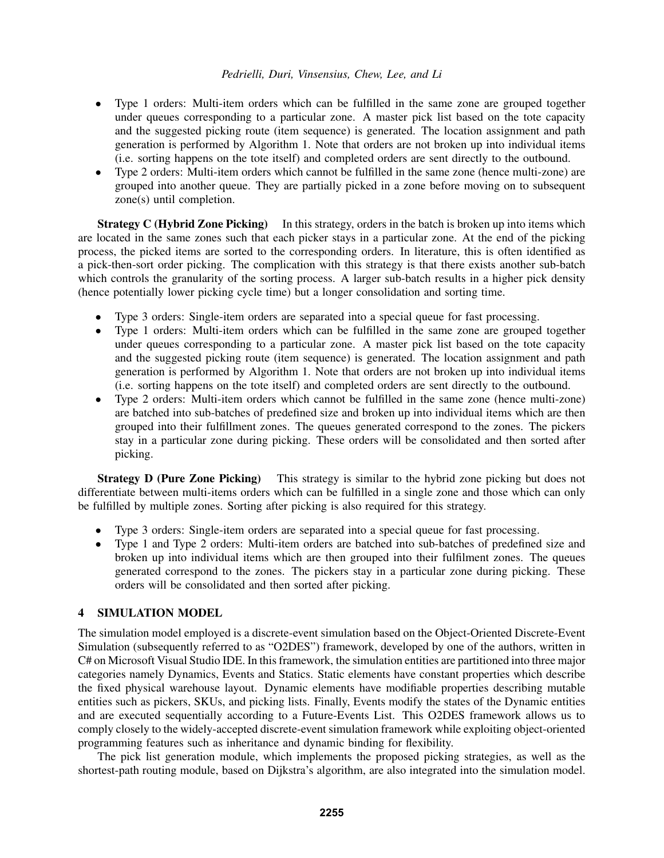- Type 1 orders: Multi-item orders which can be fulfilled in the same zone are grouped together under queues corresponding to a particular zone. A master pick list based on the tote capacity and the suggested picking route (item sequence) is generated. The location assignment and path generation is performed by Algorithm 1. Note that orders are not broken up into individual items (i.e. sorting happens on the tote itself) and completed orders are sent directly to the outbound.
- Type 2 orders: Multi-item orders which cannot be fulfilled in the same zone (hence multi-zone) are grouped into another queue. They are partially picked in a zone before moving on to subsequent zone(s) until completion.

**Strategy C (Hybrid Zone Picking)** In this strategy, orders in the batch is broken up into items which are located in the same zones such that each picker stays in a particular zone. At the end of the picking process, the picked items are sorted to the corresponding orders. In literature, this is often identified as a pick-then-sort order picking. The complication with this strategy is that there exists another sub-batch which controls the granularity of the sorting process. A larger sub-batch results in a higher pick density (hence potentially lower picking cycle time) but a longer consolidation and sorting time.

- Type 3 orders: Single-item orders are separated into a special queue for fast processing.
- Type 1 orders: Multi-item orders which can be fulfilled in the same zone are grouped together under queues corresponding to a particular zone. A master pick list based on the tote capacity and the suggested picking route (item sequence) is generated. The location assignment and path generation is performed by Algorithm 1. Note that orders are not broken up into individual items (i.e. sorting happens on the tote itself) and completed orders are sent directly to the outbound.
- Type 2 orders: Multi-item orders which cannot be fulfilled in the same zone (hence multi-zone) are batched into sub-batches of predefined size and broken up into individual items which are then grouped into their fulfillment zones. The queues generated correspond to the zones. The pickers stay in a particular zone during picking. These orders will be consolidated and then sorted after picking.

Strategy D (Pure Zone Picking) This strategy is similar to the hybrid zone picking but does not differentiate between multi-items orders which can be fulfilled in a single zone and those which can only be fulfilled by multiple zones. Sorting after picking is also required for this strategy.

- Type 3 orders: Single-item orders are separated into a special queue for fast processing.
- Type 1 and Type 2 orders: Multi-item orders are batched into sub-batches of predefined size and broken up into individual items which are then grouped into their fulfilment zones. The queues generated correspond to the zones. The pickers stay in a particular zone during picking. These orders will be consolidated and then sorted after picking.

## 4 SIMULATION MODEL

The simulation model employed is a discrete-event simulation based on the Object-Oriented Discrete-Event Simulation (subsequently referred to as "O2DES") framework, developed by one of the authors, written in C# on Microsoft Visual Studio IDE. In this framework, the simulation entities are partitioned into three major categories namely Dynamics, Events and Statics. Static elements have constant properties which describe the fixed physical warehouse layout. Dynamic elements have modifiable properties describing mutable entities such as pickers, SKUs, and picking lists. Finally, Events modify the states of the Dynamic entities and are executed sequentially according to a Future-Events List. This O2DES framework allows us to comply closely to the widely-accepted discrete-event simulation framework while exploiting object-oriented programming features such as inheritance and dynamic binding for flexibility.

The pick list generation module, which implements the proposed picking strategies, as well as the shortest-path routing module, based on Dijkstra's algorithm, are also integrated into the simulation model.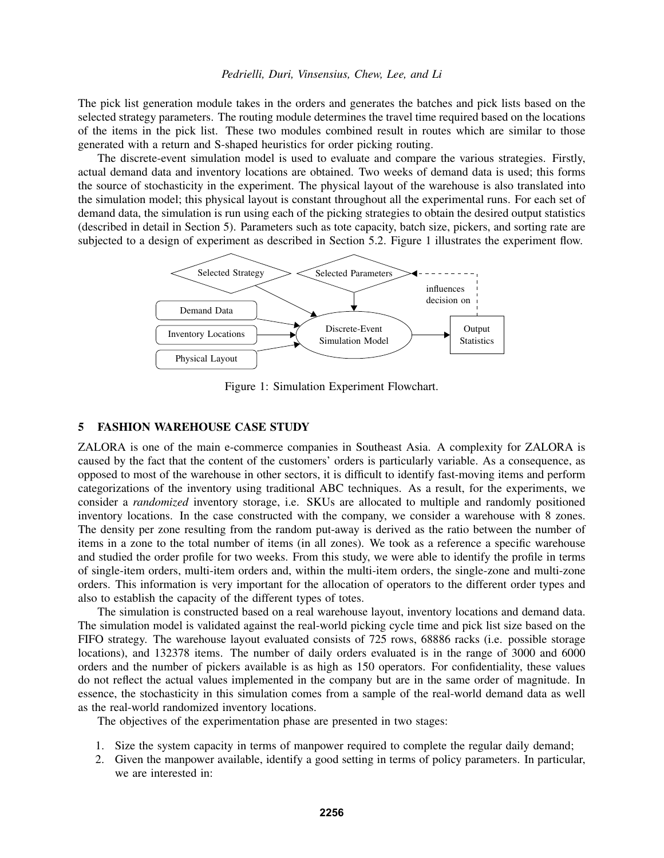The pick list generation module takes in the orders and generates the batches and pick lists based on the selected strategy parameters. The routing module determines the travel time required based on the locations of the items in the pick list. These two modules combined result in routes which are similar to those generated with a return and S-shaped heuristics for order picking routing.

The discrete-event simulation model is used to evaluate and compare the various strategies. Firstly, actual demand data and inventory locations are obtained. Two weeks of demand data is used; this forms the source of stochasticity in the experiment. The physical layout of the warehouse is also translated into the simulation model; this physical layout is constant throughout all the experimental runs. For each set of demand data, the simulation is run using each of the picking strategies to obtain the desired output statistics (described in detail in Section 5). Parameters such as tote capacity, batch size, pickers, and sorting rate are subjected to a design of experiment as described in Section 5.2. Figure 1 illustrates the experiment flow.



Figure 1: Simulation Experiment Flowchart.

#### 5 FASHION WAREHOUSE CASE STUDY

ZALORA is one of the main e-commerce companies in Southeast Asia. A complexity for ZALORA is caused by the fact that the content of the customers' orders is particularly variable. As a consequence, as opposed to most of the warehouse in other sectors, it is difficult to identify fast-moving items and perform categorizations of the inventory using traditional ABC techniques. As a result, for the experiments, we consider a *randomized* inventory storage, i.e. SKUs are allocated to multiple and randomly positioned inventory locations. In the case constructed with the company, we consider a warehouse with 8 zones. The density per zone resulting from the random put-away is derived as the ratio between the number of items in a zone to the total number of items (in all zones). We took as a reference a specific warehouse and studied the order profile for two weeks. From this study, we were able to identify the profile in terms of single-item orders, multi-item orders and, within the multi-item orders, the single-zone and multi-zone orders. This information is very important for the allocation of operators to the different order types and also to establish the capacity of the different types of totes.

The simulation is constructed based on a real warehouse layout, inventory locations and demand data. The simulation model is validated against the real-world picking cycle time and pick list size based on the FIFO strategy. The warehouse layout evaluated consists of 725 rows, 68886 racks (i.e. possible storage locations), and 132378 items. The number of daily orders evaluated is in the range of 3000 and 6000 orders and the number of pickers available is as high as 150 operators. For confidentiality, these values do not reflect the actual values implemented in the company but are in the same order of magnitude. In essence, the stochasticity in this simulation comes from a sample of the real-world demand data as well as the real-world randomized inventory locations.

The objectives of the experimentation phase are presented in two stages:

- 1. Size the system capacity in terms of manpower required to complete the regular daily demand;
- 2. Given the manpower available, identify a good setting in terms of policy parameters. In particular, we are interested in: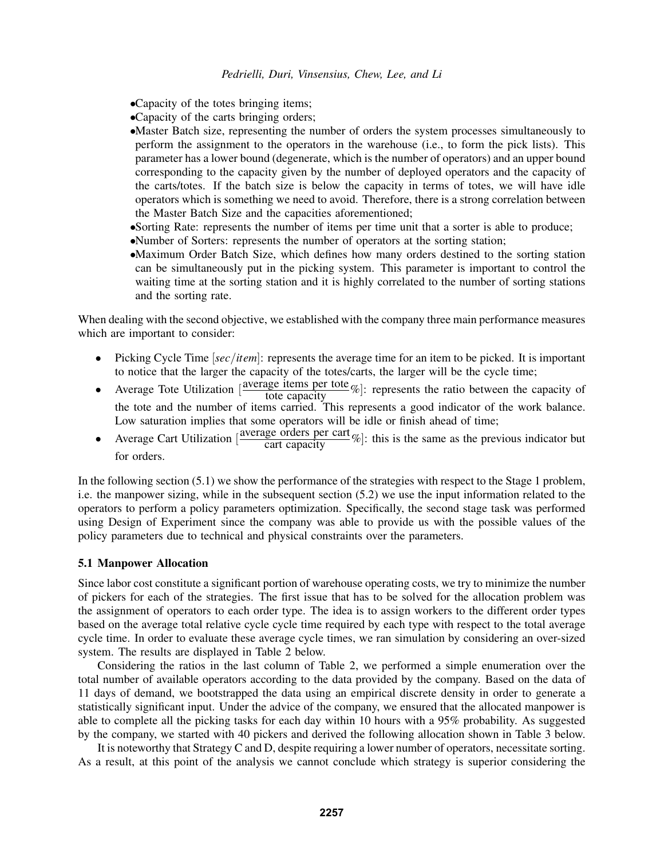•Capacity of the totes bringing items;

•Capacity of the carts bringing orders;

•Master Batch size, representing the number of orders the system processes simultaneously to perform the assignment to the operators in the warehouse (i.e., to form the pick lists). This parameter has a lower bound (degenerate, which is the number of operators) and an upper bound corresponding to the capacity given by the number of deployed operators and the capacity of the carts/totes. If the batch size is below the capacity in terms of totes, we will have idle operators which is something we need to avoid. Therefore, there is a strong correlation between the Master Batch Size and the capacities aforementioned;

•Sorting Rate: represents the number of items per time unit that a sorter is able to produce; •Number of Sorters: represents the number of operators at the sorting station;

•Maximum Order Batch Size, which defines how many orders destined to the sorting station can be simultaneously put in the picking system. This parameter is important to control the waiting time at the sorting station and it is highly correlated to the number of sorting stations and the sorting rate.

When dealing with the second objective, we established with the company three main performance measures which are important to consider:

- Picking Cycle Time [*sec*/*item*]: represents the average time for an item to be picked. It is important to notice that the larger the capacity of the totes/carts, the larger will be the cycle time;
- Average Tote Utilization  $\left[\frac{\text{average items per tote}}{\text{tote capacity}}\% \right]$ : represents the ratio between the capacity of the tote and the number of items carried. This represents a good indicator of the work balance. Low saturation implies that some operators will be idle or finish ahead of time;
- Average Cart Utilization  $\left[\frac{\text{average orders per cart}}{\text{cart capacity}}\% \right]$ : this is the same as the previous indicator but for orders.

In the following section (5.1) we show the performance of the strategies with respect to the Stage 1 problem, i.e. the manpower sizing, while in the subsequent section (5.2) we use the input information related to the operators to perform a policy parameters optimization. Specifically, the second stage task was performed using Design of Experiment since the company was able to provide us with the possible values of the policy parameters due to technical and physical constraints over the parameters.

## 5.1 Manpower Allocation

Since labor cost constitute a significant portion of warehouse operating costs, we try to minimize the number of pickers for each of the strategies. The first issue that has to be solved for the allocation problem was the assignment of operators to each order type. The idea is to assign workers to the different order types based on the average total relative cycle cycle time required by each type with respect to the total average cycle time. In order to evaluate these average cycle times, we ran simulation by considering an over-sized system. The results are displayed in Table 2 below.

Considering the ratios in the last column of Table 2, we performed a simple enumeration over the total number of available operators according to the data provided by the company. Based on the data of 11 days of demand, we bootstrapped the data using an empirical discrete density in order to generate a statistically significant input. Under the advice of the company, we ensured that the allocated manpower is able to complete all the picking tasks for each day within 10 hours with a 95% probability. As suggested by the company, we started with 40 pickers and derived the following allocation shown in Table 3 below.

It is noteworthy that Strategy C and D, despite requiring a lower number of operators, necessitate sorting. As a result, at this point of the analysis we cannot conclude which strategy is superior considering the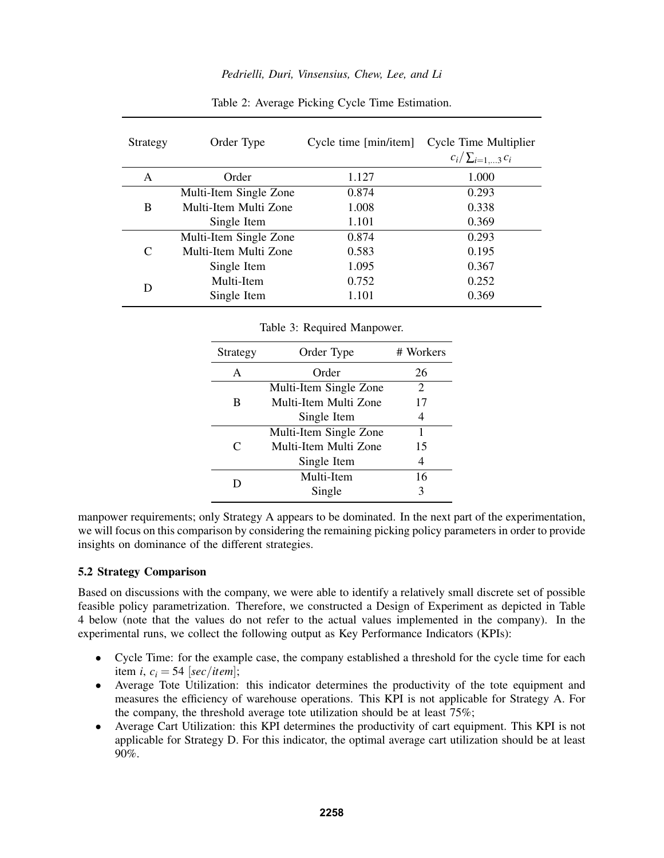| Strategy | Order Type             | Cycle time [min/item] | Cycle Time Multiplier<br>$c_i/\sum_{i=1,3} c_i$ |
|----------|------------------------|-----------------------|-------------------------------------------------|
| A        | Order                  | 1.127                 | 1.000                                           |
|          | Multi-Item Single Zone | 0.874                 | 0.293                                           |
| B        | Multi-Item Multi Zone  | 1.008                 | 0.338                                           |
|          | Single Item            | 1.101                 | 0.369                                           |
|          | Multi-Item Single Zone | 0.874                 | 0.293                                           |
| C        | Multi-Item Multi Zone  | 0.583                 | 0.195                                           |
|          | Single Item            | 1.095                 | 0.367                                           |
| D        | Multi-Item             | 0.752                 | 0.252                                           |
|          | Single Item            | 1.101                 | 0.369                                           |

Table 2: Average Picking Cycle Time Estimation.

### Table 3: Required Manpower.

| Strategy | Order Type             | # Workers             |
|----------|------------------------|-----------------------|
| A        | Order                  | 26                    |
|          | Multi-Item Single Zone | $\mathcal{D}_{\cdot}$ |
| в        | Multi-Item Multi Zone  | 17                    |
|          | Single Item            |                       |
|          | Multi-Item Single Zone |                       |
| C        | Multi-Item Multi Zone  | 15                    |
|          | Single Item            | 4                     |
| נ ו      | Multi-Item             | 16                    |
|          | Single                 | 3                     |

manpower requirements; only Strategy A appears to be dominated. In the next part of the experimentation, we will focus on this comparison by considering the remaining picking policy parameters in order to provide insights on dominance of the different strategies.

## 5.2 Strategy Comparison

Based on discussions with the company, we were able to identify a relatively small discrete set of possible feasible policy parametrization. Therefore, we constructed a Design of Experiment as depicted in Table 4 below (note that the values do not refer to the actual values implemented in the company). In the experimental runs, we collect the following output as Key Performance Indicators (KPIs):

- Cycle Time: for the example case, the company established a threshold for the cycle time for each item *i*,  $c_i = 54$  [sec/*item*];
- Average Tote Utilization: this indicator determines the productivity of the tote equipment and measures the efficiency of warehouse operations. This KPI is not applicable for Strategy A. For the company, the threshold average tote utilization should be at least 75%;
- Average Cart Utilization: this KPI determines the productivity of cart equipment. This KPI is not applicable for Strategy D. For this indicator, the optimal average cart utilization should be at least 90%.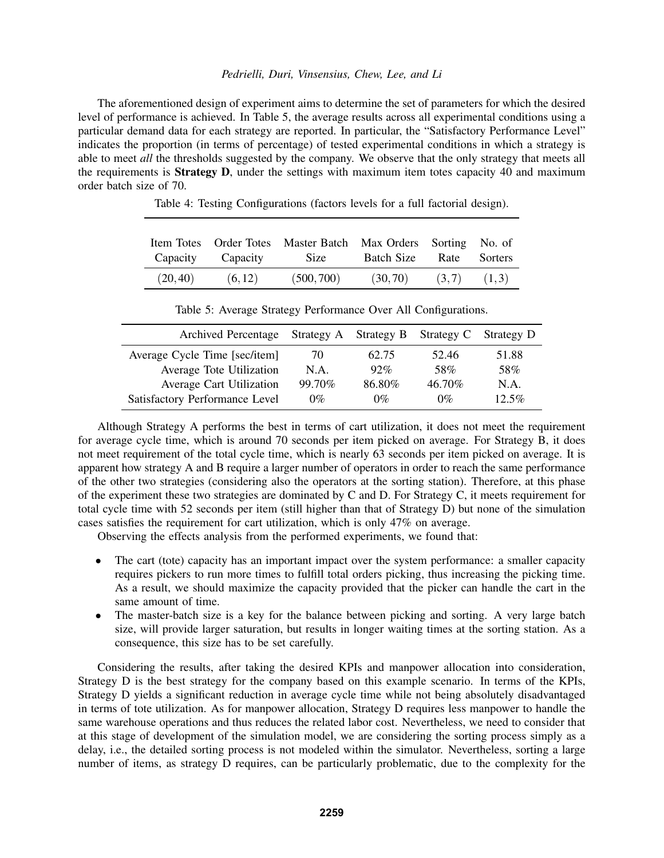The aforementioned design of experiment aims to determine the set of parameters for which the desired level of performance is achieved. In Table 5, the average results across all experimental conditions using a particular demand data for each strategy are reported. In particular, the "Satisfactory Performance Level" indicates the proportion (in terms of percentage) of tested experimental conditions in which a strategy is able to meet *all* the thresholds suggested by the company. We observe that the only strategy that meets all the requirements is Strategy D, under the settings with maximum item totes capacity 40 and maximum order batch size of 70.

|  | Table 4: Testing Configurations (factors levels for a full factorial design). |  |  |  |
|--|-------------------------------------------------------------------------------|--|--|--|
|  |                                                                               |  |  |  |

|          | Capacity Capacity | Item Totes Order Totes Master Batch Max Orders Sorting No. of<br>Size | Batch Size | Rate Sorters |       |
|----------|-------------------|-----------------------------------------------------------------------|------------|--------------|-------|
| (20, 40) | (6, 12)           | (500, 700)                                                            | (30, 70)   | (3,7)        | (1,3) |

| Archived Percentage Strategy A Strategy B |        |        | Strategy C Strategy D |          |
|-------------------------------------------|--------|--------|-----------------------|----------|
| Average Cycle Time [sec/item]             | 70     | 62.75  | 52.46                 | 51.88    |
| Average Tote Utilization                  | N.A.   | 92%    | 58%                   | 58%      |
| Average Cart Utilization                  | 99.70% | 86.80% | 46.70%                | N.A.     |
| Satisfactory Performance Level            | $0\%$  | $0\%$  | 0%                    | $12.5\%$ |

Table 5: Average Strategy Performance Over All Configurations.

Although Strategy A performs the best in terms of cart utilization, it does not meet the requirement for average cycle time, which is around 70 seconds per item picked on average. For Strategy B, it does not meet requirement of the total cycle time, which is nearly 63 seconds per item picked on average. It is apparent how strategy A and B require a larger number of operators in order to reach the same performance of the other two strategies (considering also the operators at the sorting station). Therefore, at this phase of the experiment these two strategies are dominated by C and D. For Strategy C, it meets requirement for total cycle time with 52 seconds per item (still higher than that of Strategy D) but none of the simulation cases satisfies the requirement for cart utilization, which is only 47% on average.

Observing the effects analysis from the performed experiments, we found that:

- The cart (tote) capacity has an important impact over the system performance: a smaller capacity requires pickers to run more times to fulfill total orders picking, thus increasing the picking time. As a result, we should maximize the capacity provided that the picker can handle the cart in the same amount of time.
- The master-batch size is a key for the balance between picking and sorting. A very large batch size, will provide larger saturation, but results in longer waiting times at the sorting station. As a consequence, this size has to be set carefully.

Considering the results, after taking the desired KPIs and manpower allocation into consideration, Strategy D is the best strategy for the company based on this example scenario. In terms of the KPIs, Strategy D yields a significant reduction in average cycle time while not being absolutely disadvantaged in terms of tote utilization. As for manpower allocation, Strategy D requires less manpower to handle the same warehouse operations and thus reduces the related labor cost. Nevertheless, we need to consider that at this stage of development of the simulation model, we are considering the sorting process simply as a delay, i.e., the detailed sorting process is not modeled within the simulator. Nevertheless, sorting a large number of items, as strategy D requires, can be particularly problematic, due to the complexity for the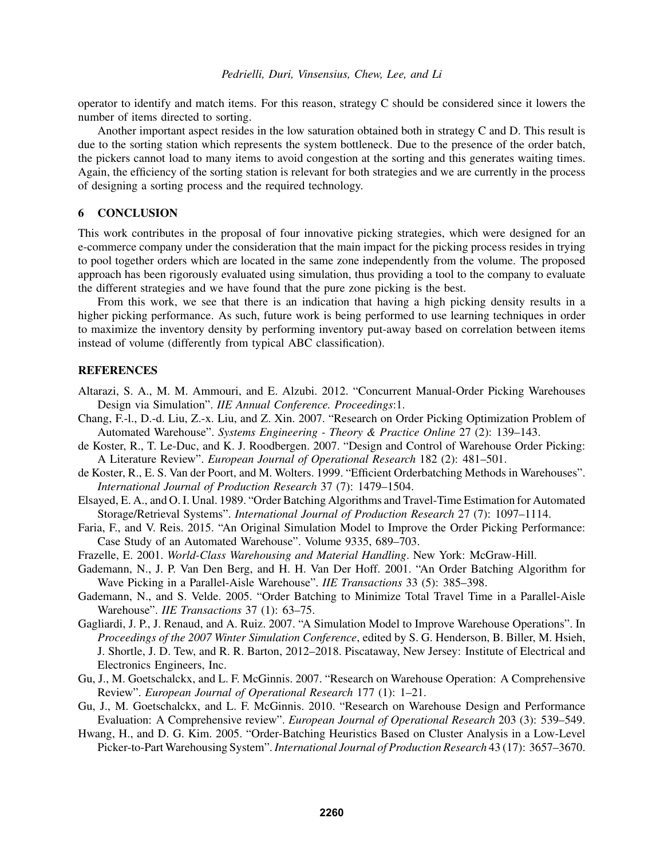operator to identify and match items. For this reason, strategy C should be considered since it lowers the number of items directed to sorting.

Another important aspect resides in the low saturation obtained both in strategy C and D. This result is due to the sorting station which represents the system bottleneck. Due to the presence of the order batch, the pickers cannot load to many items to avoid congestion at the sorting and this generates waiting times. Again, the efficiency of the sorting station is relevant for both strategies and we are currently in the process of designing a sorting process and the required technology.

## 6 CONCLUSION

This work contributes in the proposal of four innovative picking strategies, which were designed for an e-commerce company under the consideration that the main impact for the picking process resides in trying to pool together orders which are located in the same zone independently from the volume. The proposed approach has been rigorously evaluated using simulation, thus providing a tool to the company to evaluate the different strategies and we have found that the pure zone picking is the best.

From this work, we see that there is an indication that having a high picking density results in a higher picking performance. As such, future work is being performed to use learning techniques in order to maximize the inventory density by performing inventory put-away based on correlation between items instead of volume (differently from typical ABC classification).

### REFERENCES

- Altarazi, S. A., M. M. Ammouri, and E. Alzubi. 2012. "Concurrent Manual-Order Picking Warehouses Design via Simulation". *IIE Annual Conference. Proceedings*:1.
- Chang, F.-l., D.-d. Liu, Z.-x. Liu, and Z. Xin. 2007. "Research on Order Picking Optimization Problem of Automated Warehouse". *Systems Engineering - Theory & Practice Online* 27 (2): 139–143.
- de Koster, R., T. Le-Duc, and K. J. Roodbergen. 2007. "Design and Control of Warehouse Order Picking: A Literature Review". *European Journal of Operational Research* 182 (2): 481–501.
- de Koster, R., E. S. Van der Poort, and M. Wolters. 1999. "Efficient Orderbatching Methods in Warehouses". *International Journal of Production Research* 37 (7): 1479–1504.
- Elsayed, E. A., and O. I. Unal. 1989. "Order Batching Algorithms and Travel-Time Estimation for Automated Storage/Retrieval Systems". *International Journal of Production Research* 27 (7): 1097–1114.
- Faria, F., and V. Reis. 2015. "An Original Simulation Model to Improve the Order Picking Performance: Case Study of an Automated Warehouse". Volume 9335, 689–703.
- Frazelle, E. 2001. *World-Class Warehousing and Material Handling*. New York: McGraw-Hill.
- Gademann, N., J. P. Van Den Berg, and H. H. Van Der Hoff. 2001. "An Order Batching Algorithm for Wave Picking in a Parallel-Aisle Warehouse". *IIE Transactions* 33 (5): 385–398.
- Gademann, N., and S. Velde. 2005. "Order Batching to Minimize Total Travel Time in a Parallel-Aisle Warehouse". *IIE Transactions* 37 (1): 63–75.
- Gagliardi, J. P., J. Renaud, and A. Ruiz. 2007. "A Simulation Model to Improve Warehouse Operations". In *Proceedings of the 2007 Winter Simulation Conference*, edited by S. G. Henderson, B. Biller, M. Hsieh, J. Shortle, J. D. Tew, and R. R. Barton, 2012–2018. Piscataway, New Jersey: Institute of Electrical and Electronics Engineers, Inc.
- Gu, J., M. Goetschalckx, and L. F. McGinnis. 2007. "Research on Warehouse Operation: A Comprehensive Review". *European Journal of Operational Research* 177 (1): 1–21.
- Gu, J., M. Goetschalckx, and L. F. McGinnis. 2010. "Research on Warehouse Design and Performance Evaluation: A Comprehensive review". *European Journal of Operational Research* 203 (3): 539–549.
- Hwang, H., and D. G. Kim. 2005. "Order-Batching Heuristics Based on Cluster Analysis in a Low-Level Picker-to-Part Warehousing System". *International Journal of Production Research* 43 (17): 3657–3670.